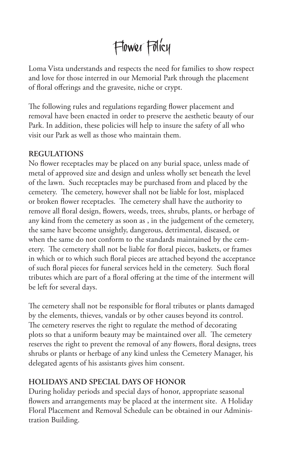# Flower Policy

Loma Vista understands and respects the need for families to show respect and love for those interred in our Memorial Park through the placement of floral offerings and the gravesite, niche or crypt.

The following rules and regulations regarding flower placement and removal have been enacted in order to preserve the aesthetic beauty of our Park. In addition, these policies will help to insure the safety of all who visit our Park as well as those who maintain them.

#### **REGULATIONS**

No flower receptacles may be placed on any burial space, unless made of metal of approved size and design and unless wholly set beneath the level of the lawn. Such receptacles may be purchased from and placed by the cemetery. The cemetery, however shall not be liable for lost, misplaced or broken flower receptacles. The cemetery shall have the authority to remove all floral design, flowers, weeds, trees, shrubs, plants, or herbage of any kind from the cemetery as soon as , in the judgement of the cemetery, the same have become unsightly, dangerous, detrimental, diseased, or when the same do not conform to the standards maintained by the cemetery. The cemetery shall not be liable for floral pieces, baskets, or frames in which or to which such floral pieces are attached beyond the acceptance of such floral pieces for funeral services held in the cemetery. Such floral tributes which are part of a floral offering at the time of the interment will be left for several days.

The cemetery shall not be responsible for floral tributes or plants damaged by the elements, thieves, vandals or by other causes beyond its control. The cemetery reserves the right to regulate the method of decorating plots so that a uniform beauty may be maintained over all. The cemetery reserves the right to prevent the removal of any flowers, floral designs, trees shrubs or plants or herbage of any kind unless the Cemetery Manager, his delegated agents of his assistants gives him consent.

#### **HOLIDAYS AND SPECIAL DAYS OF HONOR**

During holiday periods and special days of honor, appropriate seasonal flowers and arrangements may be placed at the interment site. A Holiday Floral Placement and Removal Schedule can be obtained in our Administration Building.